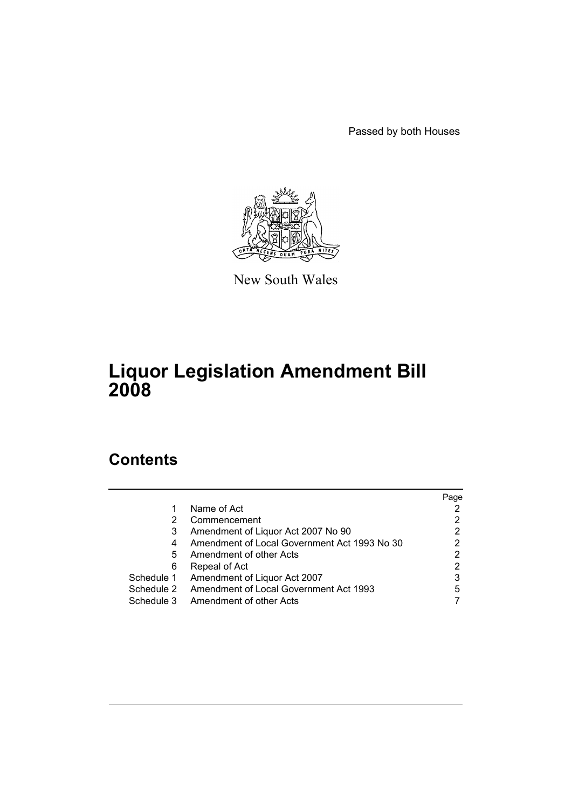Passed by both Houses



New South Wales

# **Liquor Legislation Amendment Bill 2008**

# **Contents**

|            |                                              | Page |
|------------|----------------------------------------------|------|
| 1          | Name of Act                                  |      |
| 2          | Commencement                                 | 2    |
| 3          | Amendment of Liquor Act 2007 No 90           | 2    |
| 4          | Amendment of Local Government Act 1993 No 30 | 2    |
| 5          | Amendment of other Acts                      | 2    |
| 6          | Repeal of Act                                |      |
| Schedule 1 | Amendment of Liquor Act 2007                 | 3    |
| Schedule 2 | Amendment of Local Government Act 1993       | 5    |
| Schedule 3 | Amendment of other Acts                      |      |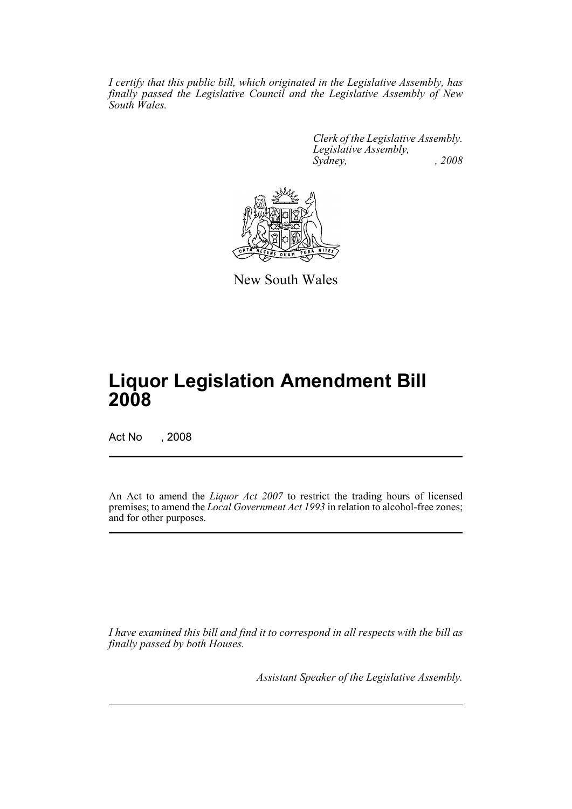*I certify that this public bill, which originated in the Legislative Assembly, has finally passed the Legislative Council and the Legislative Assembly of New South Wales.*

> *Clerk of the Legislative Assembly. Legislative Assembly, Sydney, , 2008*



New South Wales

# **Liquor Legislation Amendment Bill 2008**

Act No , 2008

An Act to amend the *Liquor Act 2007* to restrict the trading hours of licensed premises; to amend the *Local Government Act 1993* in relation to alcohol-free zones; and for other purposes.

*I have examined this bill and find it to correspond in all respects with the bill as finally passed by both Houses.*

*Assistant Speaker of the Legislative Assembly.*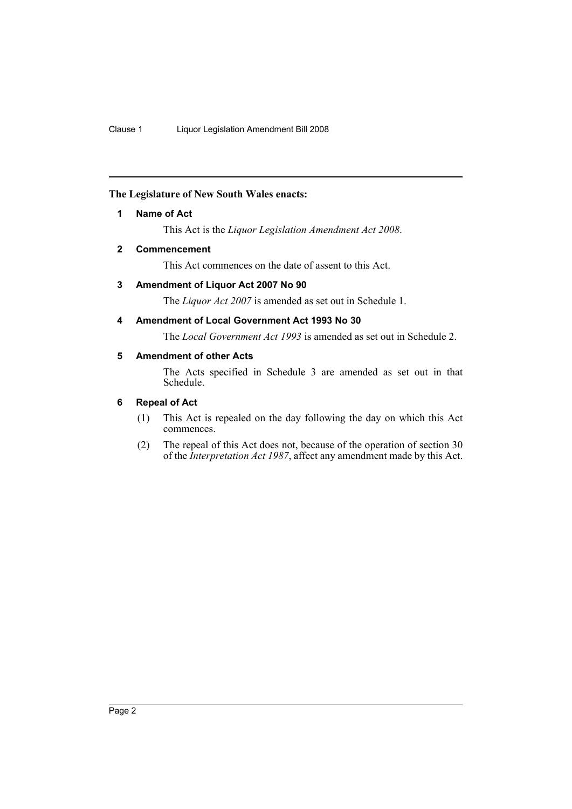## <span id="page-2-0"></span>**The Legislature of New South Wales enacts:**

#### **1 Name of Act**

This Act is the *Liquor Legislation Amendment Act 2008*.

#### <span id="page-2-1"></span>**2 Commencement**

This Act commences on the date of assent to this Act.

# <span id="page-2-2"></span>**3 Amendment of Liquor Act 2007 No 90**

The *Liquor Act 2007* is amended as set out in Schedule 1.

### <span id="page-2-3"></span>**4 Amendment of Local Government Act 1993 No 30**

The *Local Government Act 1993* is amended as set out in Schedule 2.

## <span id="page-2-4"></span>**5 Amendment of other Acts**

The Acts specified in Schedule 3 are amended as set out in that Schedule.

#### <span id="page-2-5"></span>**6 Repeal of Act**

- (1) This Act is repealed on the day following the day on which this Act commences.
- (2) The repeal of this Act does not, because of the operation of section 30 of the *Interpretation Act 1987*, affect any amendment made by this Act.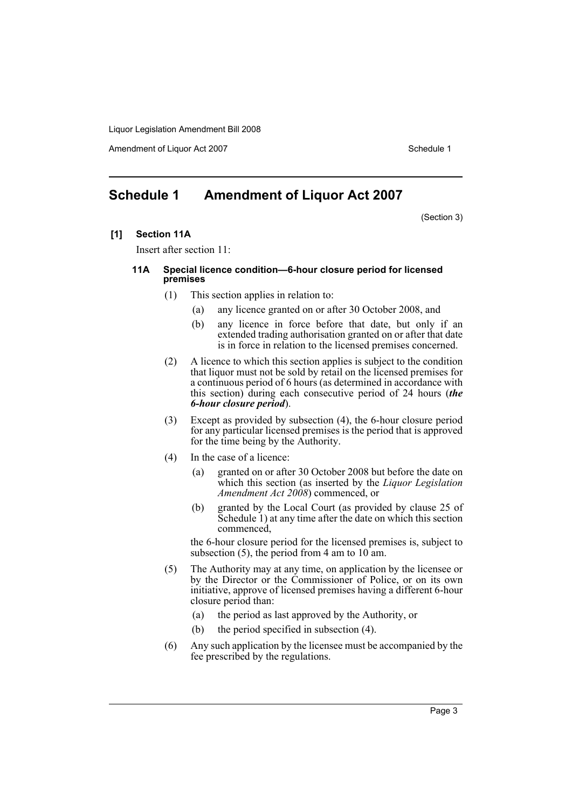Amendment of Liquor Act 2007 November 2007 New York 1997 Schedule 1

# <span id="page-3-0"></span>**Schedule 1 Amendment of Liquor Act 2007**

(Section 3)

**[1] Section 11A**

Insert after section 11:

#### **11A Special licence condition—6-hour closure period for licensed premises**

- (1) This section applies in relation to:
	- (a) any licence granted on or after 30 October 2008, and
	- (b) any licence in force before that date, but only if an extended trading authorisation granted on or after that date is in force in relation to the licensed premises concerned.
- (2) A licence to which this section applies is subject to the condition that liquor must not be sold by retail on the licensed premises for a continuous period of 6 hours (as determined in accordance with this section) during each consecutive period of 24 hours (*the 6-hour closure period*).
- (3) Except as provided by subsection (4), the 6-hour closure period for any particular licensed premises is the period that is approved for the time being by the Authority.
- (4) In the case of a licence:
	- (a) granted on or after 30 October 2008 but before the date on which this section (as inserted by the *Liquor Legislation Amendment Act 2008*) commenced, or
	- (b) granted by the Local Court (as provided by clause 25 of Schedule 1) at any time after the date on which this section commenced,

the 6-hour closure period for the licensed premises is, subject to subsection  $(5)$ , the period from 4 am to  $10<sup>2</sup>$  am.

- (5) The Authority may at any time, on application by the licensee or by the Director or the Commissioner of Police, or on its own initiative, approve of licensed premises having a different 6-hour closure period than:
	- (a) the period as last approved by the Authority, or
	- (b) the period specified in subsection (4).
- (6) Any such application by the licensee must be accompanied by the fee prescribed by the regulations.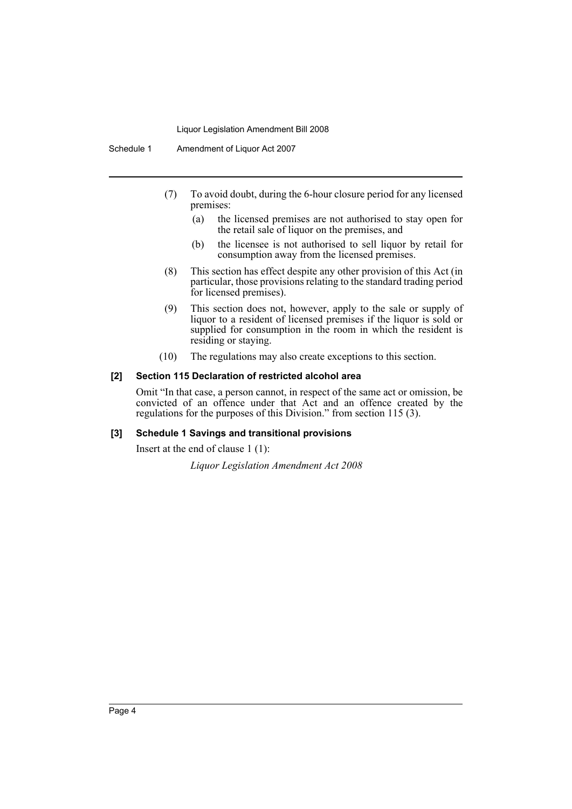Schedule 1 Amendment of Liquor Act 2007

- (7) To avoid doubt, during the 6-hour closure period for any licensed premises:
	- (a) the licensed premises are not authorised to stay open for the retail sale of liquor on the premises, and
	- (b) the licensee is not authorised to sell liquor by retail for consumption away from the licensed premises.
- (8) This section has effect despite any other provision of this Act (in particular, those provisions relating to the standard trading period for licensed premises).
- (9) This section does not, however, apply to the sale or supply of liquor to a resident of licensed premises if the liquor is sold or supplied for consumption in the room in which the resident is residing or staying.
- (10) The regulations may also create exceptions to this section.

#### **[2] Section 115 Declaration of restricted alcohol area**

Omit "In that case, a person cannot, in respect of the same act or omission, be convicted of an offence under that Act and an offence created by the regulations for the purposes of this Division." from section 115 (3).

## **[3] Schedule 1 Savings and transitional provisions**

Insert at the end of clause 1 (1):

*Liquor Legislation Amendment Act 2008*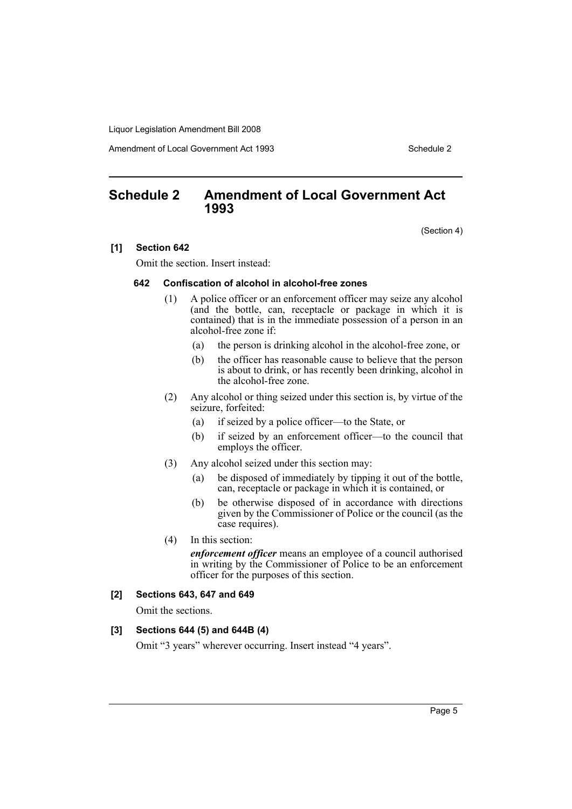Amendment of Local Government Act 1993

# <span id="page-5-0"></span>**Schedule 2 Amendment of Local Government Act 1993**

(Section 4)

#### **[1] Section 642**

Omit the section. Insert instead:

#### **642 Confiscation of alcohol in alcohol-free zones**

- (1) A police officer or an enforcement officer may seize any alcohol (and the bottle, can, receptacle or package in which it is contained) that is in the immediate possession of a person in an alcohol-free zone if:
	- (a) the person is drinking alcohol in the alcohol-free zone, or
	- (b) the officer has reasonable cause to believe that the person is about to drink, or has recently been drinking, alcohol in the alcohol-free zone.
- (2) Any alcohol or thing seized under this section is, by virtue of the seizure, forfeited:
	- (a) if seized by a police officer—to the State, or
	- (b) if seized by an enforcement officer—to the council that employs the officer.
- (3) Any alcohol seized under this section may:
	- (a) be disposed of immediately by tipping it out of the bottle, can, receptacle or package in which it is contained, or
	- (b) be otherwise disposed of in accordance with directions given by the Commissioner of Police or the council (as the case requires).
- (4) In this section:

*enforcement officer* means an employee of a council authorised in writing by the Commissioner of Police to be an enforcement officer for the purposes of this section.

# **[2] Sections 643, 647 and 649**

Omit the sections.

#### **[3] Sections 644 (5) and 644B (4)**

Omit "3 years" wherever occurring. Insert instead "4 years".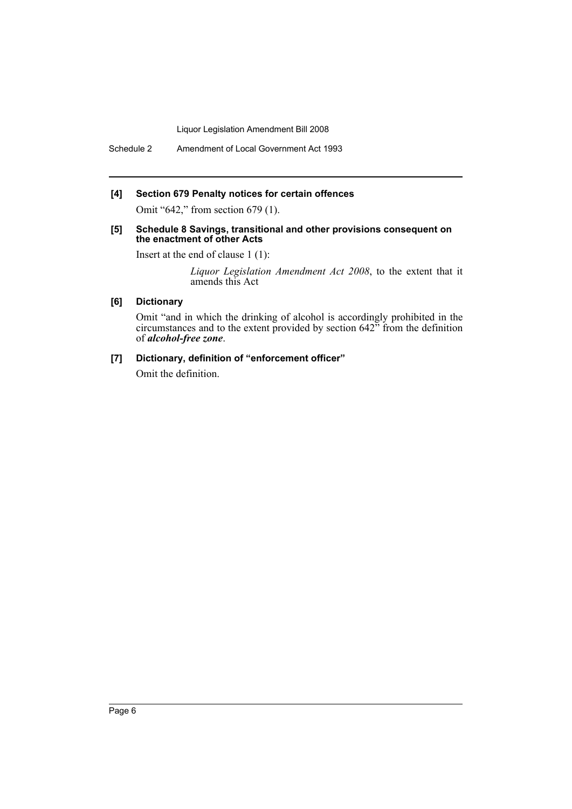Schedule 2 Amendment of Local Government Act 1993

## **[4] Section 679 Penalty notices for certain offences**

Omit "642," from section 679 (1).

#### **[5] Schedule 8 Savings, transitional and other provisions consequent on the enactment of other Acts**

Insert at the end of clause 1 (1):

*Liquor Legislation Amendment Act 2008*, to the extent that it amends this Act

# **[6] Dictionary**

Omit "and in which the drinking of alcohol is accordingly prohibited in the circumstances and to the extent provided by section 642" from the definition of *alcohol-free zone*.

#### **[7] Dictionary, definition of "enforcement officer"**

Omit the definition.